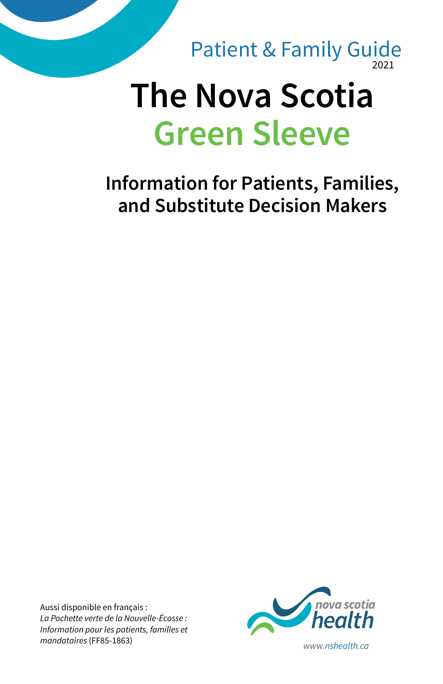

**Information for Patients, Families, and Substitute Decision Makers**

Aussi disponible en français : *La Pochette verte de la Nouvelle-Écosse : Information pour les patients, familles et* 

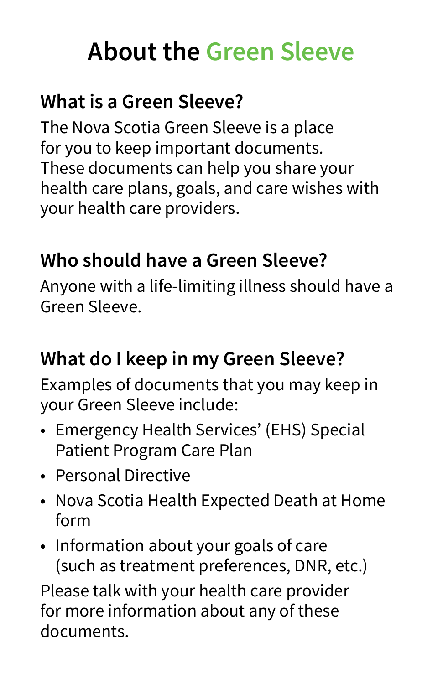# **About the Green Sleeve**

# **What is a Green Sleeve?**

The Nova Scotia Green Sleeve is a place for you to keep important documents. These documents can help you share your health care plans, goals, and care wishes with your health care providers.

# **Who should have a Green Sleeve?**

Anyone with a life-limiting illness should have a Green Sleeve.

# **What do I keep in my Green Sleeve?**

Examples of documents that you may keep in your Green Sleeve include:

- Emergency Health Services' (EHS) Special Patient Program Care Plan
- Personal Directive
- Nova Scotia Health Expected Death at Home form
- Information about your goals of care (such as treatment preferences, DNR, etc.)

Please talk with your health care provider for more information about any of these documents.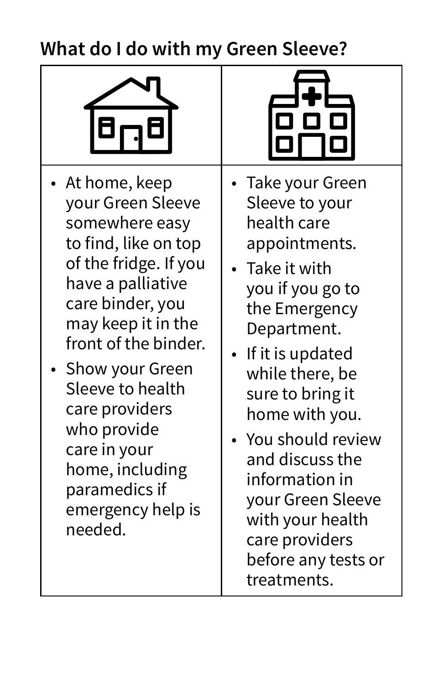# **What do I do with my Green Sleeve?**



- At home, keep your Green Sleeve somewhere easy to find, like on top of the fridge. If you have a palliative care binder, you may keep it in the front of the binder.
- Show your Green Sleeve to health care providers who provide care in your home, including paramedics if emergency help is needed.



- Take your Green Sleeve to your health care appointments.
- Take it with you if you go to the Emergency Department.
- If it is updated while there, be sure to bring it home with you.
- You should review and discuss the information in your Green Sleeve with your health care providers before any tests or treatments.